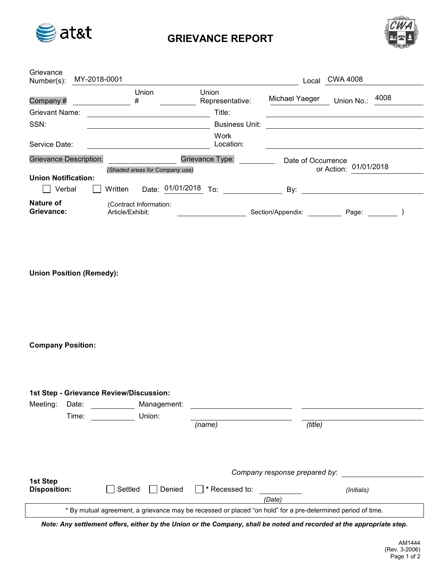

## GRIEVANCE REPORT



| Grievance<br>Number(s):              | MY-2018-0001 |                  |                                |            |                                    | Local              | <b>CWA 4008</b> |            |
|--------------------------------------|--------------|------------------|--------------------------------|------------|------------------------------------|--------------------|-----------------|------------|
| Company#<br><b>Grievant Name:</b>    |              |                  | Union<br>#                     |            | Union<br>Representative:<br>Title: | Michael Yaeger     | Union No.:      | 4008       |
| SSN:                                 |              |                  |                                |            | <b>Business Unit:</b>              |                    |                 |            |
| Service Date:                        |              |                  |                                |            | Work<br>Location:                  |                    |                 |            |
| <b>Grievance Description:</b>        |              |                  | (Shaded areas for Company use) |            | Grievance Type:                    | Date of Occurrence | or Action:      | 01/01/2018 |
| <b>Union Notification:</b><br>Verbal |              | Written          | Date:                          | 01/01/2018 | To:                                | By:                |                 |            |
| Nature of<br>Grievance:              |              | Article/Exhibit: | (Contract Information:         |            |                                    | Section/Appendix:  | Page:           |            |

Union Position (Remedy):

Company Position:

| 1st Step - Grievance Review/Discussion:                                                                     |                 |                   |                |                               |            |  |  |
|-------------------------------------------------------------------------------------------------------------|-----------------|-------------------|----------------|-------------------------------|------------|--|--|
| Meeting:                                                                                                    | Date:           | Management:       |                |                               |            |  |  |
|                                                                                                             | Union:<br>Time: |                   |                |                               |            |  |  |
|                                                                                                             |                 |                   | (name)         | (title)                       |            |  |  |
|                                                                                                             |                 |                   |                | Company response prepared by: |            |  |  |
| 1st Step<br><b>Disposition:</b>                                                                             |                 | Settled<br>Denied | * Recessed to: | (Date)                        | (Initials) |  |  |
| * By mutual agreement, a grievance may be recessed or placed "on hold" for a pre-determined period of time. |                 |                   |                |                               |            |  |  |

Note: Any settlement offers, either by the Union or the Company, shall be noted and recorded at the appropriate step.